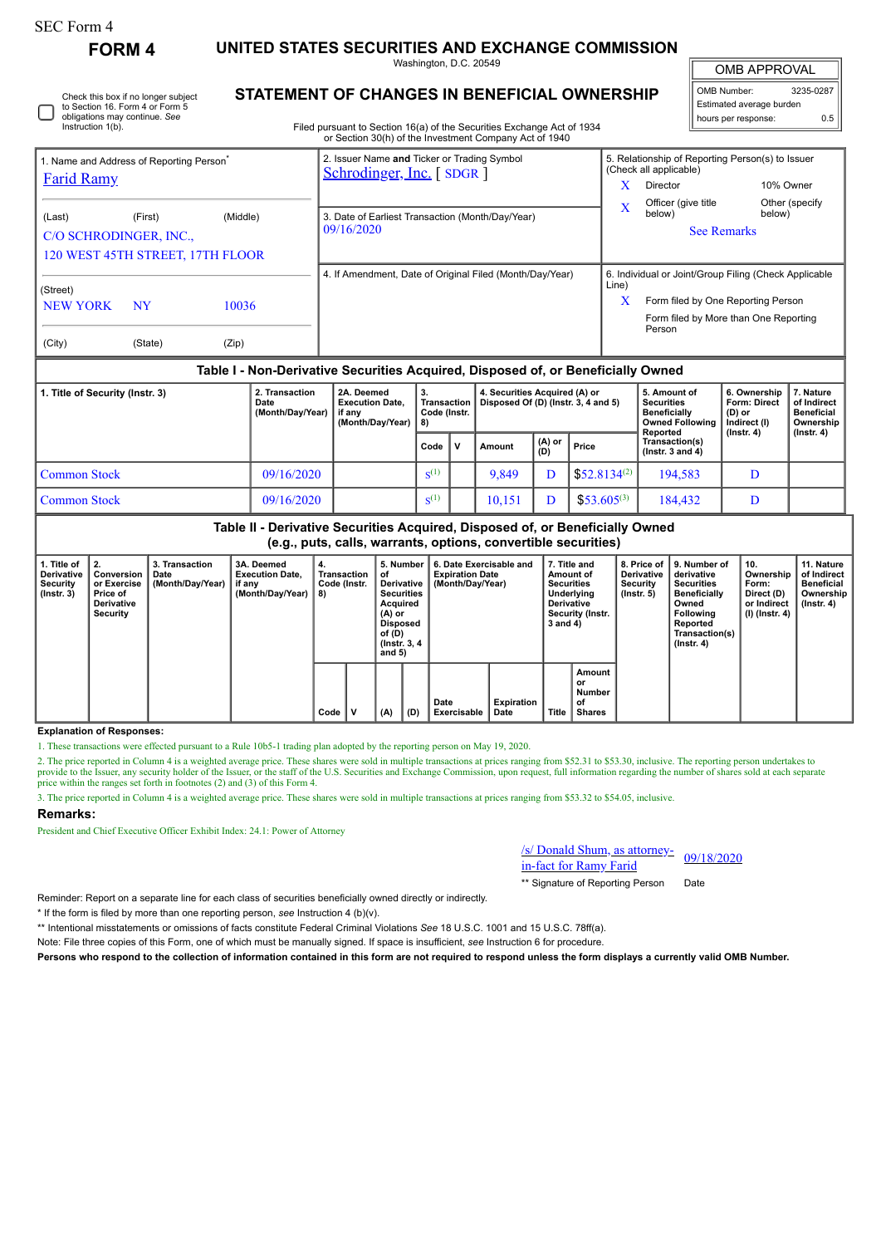| SEC Form 4 |  |
|------------|--|
|------------|--|

Check this box if no longer subject

**FORM 4 UNITED STATES SECURITIES AND EXCHANGE COMMISSION**

Washington, D.C. 20549 **STATEMENT OF CHANGES IN BENEFICIAL OWNERSHIP**

OMB APPROVAL

| OMB Number:<br>3235-0287 |     |  |  |  |  |  |  |  |
|--------------------------|-----|--|--|--|--|--|--|--|
| Estimated average burden |     |  |  |  |  |  |  |  |
| hours per response:      | 0.5 |  |  |  |  |  |  |  |

| Instruction 1(b).                                                         | to Section 16. Form 4 or Form 5<br>obligations may continue. See |                                              | Filed pursuant to Section 16(a) of the Securities Exchange Act of 1934                                                            |       |                                    | Estimated average burden<br>hours per response:                                                                                      | 0.5                      |
|---------------------------------------------------------------------------|------------------------------------------------------------------|----------------------------------------------|-----------------------------------------------------------------------------------------------------------------------------------|-------|------------------------------------|--------------------------------------------------------------------------------------------------------------------------------------|--------------------------|
| 1. Name and Address of Reporting Person <sup>®</sup><br><b>Farid Ramy</b> |                                                                  |                                              | or Section 30(h) of the Investment Company Act of 1940<br>2. Issuer Name and Ticker or Trading Symbol<br>Schrodinger, Inc. [SDGR] |       | (Check all applicable)<br>Director | 5. Relationship of Reporting Person(s) to Issuer                                                                                     | 10% Owner                |
| (Last)                                                                    | (First)<br>C/O SCHRODINGER, INC.,                                | (Middle)<br>120 WEST 45TH STREET, 17TH FLOOR | 3. Date of Earliest Transaction (Month/Day/Year)<br>09/16/2020                                                                    |       | Officer (give title)<br>below)     | <b>See Remarks</b>                                                                                                                   | Other (specify<br>below) |
| (Street)<br><b>NEW YORK</b>                                               | <b>NY</b>                                                        | 10036                                        | 4. If Amendment, Date of Original Filed (Month/Day/Year)                                                                          | Line) | Person                             | 6. Individual or Joint/Group Filing (Check Applicable<br>Form filed by One Reporting Person<br>Form filed by More than One Reporting |                          |
| (City)                                                                    | (State)                                                          | (Zip)                                        |                                                                                                                                   |       |                                    |                                                                                                                                      |                          |

## **Table I - Non-Derivative Securities Acquired, Disposed of, or Beneficially Owned**

| 1. Title of Security (Instr. 3) | 2. Transaction<br>Date<br>(Month/Day/Year) | 2A. Deemed<br><b>Execution Date.</b><br>if anv<br>(Month/Day/Year) | З.<br>Transaction<br>Code (Instr.<br>l 8) | 4. Securities Acquired (A) or<br>Disposed Of (D) (Instr. 3, 4 and 5) |                  |                   | 5. Amount of<br><b>Securities</b><br><b>Beneficially</b><br><b>Owned Following</b><br>Reported | 6. Ownership<br><b>Form: Direct</b><br>(D) or<br>Indirect (I)<br>(Instr. 4) | . Nature<br>of Indirect<br><b>Beneficial</b><br>Ownership |
|---------------------------------|--------------------------------------------|--------------------------------------------------------------------|-------------------------------------------|----------------------------------------------------------------------|------------------|-------------------|------------------------------------------------------------------------------------------------|-----------------------------------------------------------------------------|-----------------------------------------------------------|
|                                 |                                            |                                                                    | Code                                      | Amount                                                               | $ (A)$ or<br>(D) | Price             | Transaction(s)<br>$($ lnstr. 3 and 4 $)$                                                       |                                                                             | (Instr. 4)                                                |
| Common Stock                    | 09/16/2020                                 |                                                                    | $S^{(1)}$                                 | 9.849                                                                |                  | $$52.8134^{(2)}$$ | 194.583                                                                                        | D                                                                           |                                                           |
| Common Stock                    | 09/16/2020                                 |                                                                    | $S^{(1)}$                                 | 10.151                                                               |                  | $$53.605^{(3)}$$  | 184,432                                                                                        |                                                                             |                                                           |

**Table II - Derivative Securities Acquired, Disposed of, or Beneficially Owned (e.g., puts, calls, warrants, options, convertible securities)**

| 1. Title of<br><b>Derivative</b><br>Security<br>$($ lnstr. 3 $)$ | Conversion<br>or Exercise<br>Price of<br><b>Derivative</b><br><b>Security</b> | 3. Transaction<br>Date<br>(Month/Day/Year) | 3A. Deemed<br><b>Execution Date.</b><br>if any<br>(Month/Day/Year) | ີ 4.<br>Transaction<br>Code (Instr.<br>8) |   | 5. Number<br>οf<br>Derivative<br><b>Securities</b><br>Acquired<br>$(A)$ or<br><b>Disposed</b><br>of $(D)$<br>(Instr. 3, 4)<br>and $5)$ |     | 6. Date Exercisable and<br><b>Expiration Date</b><br>(Month/Day/Year) |                    |              | 7. Title and<br>Amount of<br><b>Securities</b><br>Underlying<br><b>Derivative</b><br>Security (Instr.<br>3 and 4) | 8. Price of I<br><b>Derivative</b><br>Security<br>$($ lnstr. 5 $)$ | 9. Number of<br>derivative<br>Securities<br><b>Beneficially</b><br>Owned<br><b>Following</b><br>Reported<br>Transaction(s)<br>$($ lnstr. 4 $)$ | 10.<br>Ownership<br>Form:<br>Direct (D)<br>or Indirect<br>(I) (Instr. 4) | 11. Nature<br>of Indirect<br>Beneficial<br>Ownership<br>(Instr. 4) |
|------------------------------------------------------------------|-------------------------------------------------------------------------------|--------------------------------------------|--------------------------------------------------------------------|-------------------------------------------|---|----------------------------------------------------------------------------------------------------------------------------------------|-----|-----------------------------------------------------------------------|--------------------|--------------|-------------------------------------------------------------------------------------------------------------------|--------------------------------------------------------------------|------------------------------------------------------------------------------------------------------------------------------------------------|--------------------------------------------------------------------------|--------------------------------------------------------------------|
|                                                                  |                                                                               |                                            |                                                                    | Code                                      | v | (A)                                                                                                                                    | (D) | Date<br>Exercisable                                                   | Expiration<br>Date | <b>Title</b> | Amount<br>or<br><b>Number</b><br>of<br>Shares                                                                     |                                                                    |                                                                                                                                                |                                                                          |                                                                    |

## **Explanation of Responses:**

1. These transactions were effected pursuant to a Rule 10b5-1 trading plan adopted by the reporting person on May 19, 2020.

2. The price reported in Column 4 is a weighted average price. These shares were sold in multiple transactions at prices ranging from \$52.31 to \$53.30, inclusive. The reporting person undertakes to<br>provide to the Issuer, a price within the ranges set forth in footnotes (2) and (3) of this Form 4.

3. The price reported in Column 4 is a weighted average price. These shares were sold in multiple transactions at prices ranging from \$53.32 to \$54.05, inclusive.

## **Remarks:**

President and Chief Executive Officer Exhibit Index: 24.1: Power of Attorney

/s/ Donald Shum, as attorney- $\frac{1}{\text{Si}}$  Donald Shum, as attorney-<br>in-fact for Ramy Farid

\*\* Signature of Reporting Person Date

Reminder: Report on a separate line for each class of securities beneficially owned directly or indirectly.

\* If the form is filed by more than one reporting person, *see* Instruction 4 (b)(v).

\*\* Intentional misstatements or omissions of facts constitute Federal Criminal Violations *See* 18 U.S.C. 1001 and 15 U.S.C. 78ff(a).

Note: File three copies of this Form, one of which must be manually signed. If space is insufficient, *see* Instruction 6 for procedure.

**Persons who respond to the collection of information contained in this form are not required to respond unless the form displays a currently valid OMB Number.**